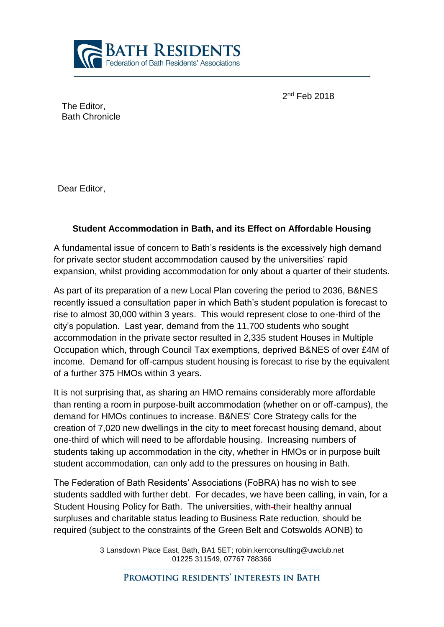

2<sup>nd</sup> Feb 2018

The Editor, Bath Chronicle

Dear Editor,

## **Student Accommodation in Bath, and its Effect on Affordable Housing**

A fundamental issue of concern to Bath's residents is the excessively high demand for private sector student accommodation caused by the universities' rapid expansion, whilst providing accommodation for only about a quarter of their students.

As part of its preparation of a new Local Plan covering the period to 2036, B&NES recently issued a consultation paper in which Bath's student population is forecast to rise to almost 30,000 within 3 years. This would represent close to one-third of the city's population. Last year, demand from the 11,700 students who sought accommodation in the private sector resulted in 2,335 student Houses in Multiple Occupation which, through Council Tax exemptions, deprived B&NES of over £4M of income. Demand for off-campus student housing is forecast to rise by the equivalent of a further 375 HMOs within 3 years.

It is not surprising that, as sharing an HMO remains considerably more affordable than renting a room in purpose-built accommodation (whether on or off-campus), the demand for HMOs continues to increase. B&NES' Core Strategy calls for the creation of 7,020 new dwellings in the city to meet forecast housing demand, about one-third of which will need to be affordable housing. Increasing numbers of students taking up accommodation in the city, whether in HMOs or in purpose built student accommodation, can only add to the pressures on housing in Bath.

The Federation of Bath Residents' Associations (FoBRA) has no wish to see students saddled with further debt. For decades, we have been calling, in vain, for a Student Housing Policy for Bath. The universities, with-their healthy annual surpluses and charitable status leading to Business Rate reduction, should be required (subject to the constraints of the Green Belt and Cotswolds AONB) to

> 3 Lansdown Place East, Bath, BA1 5ET; robin.kerrconsulting@uwclub.net 01225 311549, 07767 788366